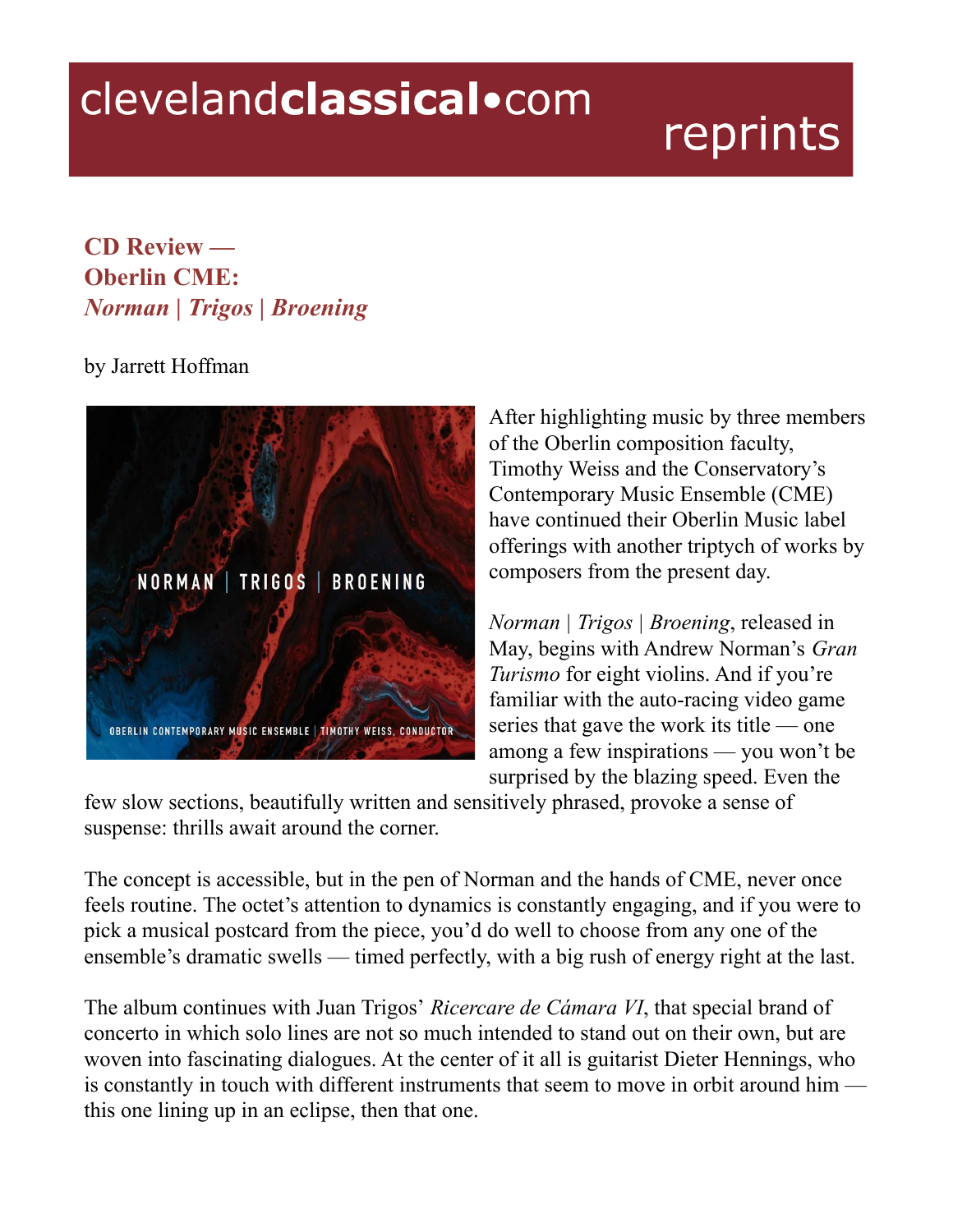## clevelandclassical.com

## reprints

## **CD Review — Oberlin CME:** *Norman | Trigos | Broening*

## by Jarrett Hoffman



After highlighting music by three members of the Oberlin composition faculty, Timothy Weiss and the Conservatory's Contemporary Music Ensemble (CME) have continued their Oberlin Music label offerings with another triptych of works by composers from the present day.

*Norman | Trigos | Broening*, released in May, begins with Andrew Norman's *Gran Turismo* for eight violins. And if you're familiar with the auto-racing video game series that gave the work its title — one among a few inspirations — you won't be surprised by the blazing speed. Even the

few slow sections, beautifully written and sensitively phrased, provoke a sense of suspense: thrills await around the corner.

The concept is accessible, but in the pen of Norman and the hands of CME, never once feels routine. The octet's attention to dynamics is constantly engaging, and if you were to pick a musical postcard from the piece, you'd do well to choose from any one of the ensemble's dramatic swells — timed perfectly, with a big rush of energy right at the last.

The album continues with Juan Trigos' *Ricercare de Cámara VI*, that special brand of concerto in which solo lines are not so much intended to stand out on their own, but are woven into fascinating dialogues. At the center of it all is guitarist Dieter Hennings, who is constantly in touch with different instruments that seem to move in orbit around him this one lining up in an eclipse, then that one.